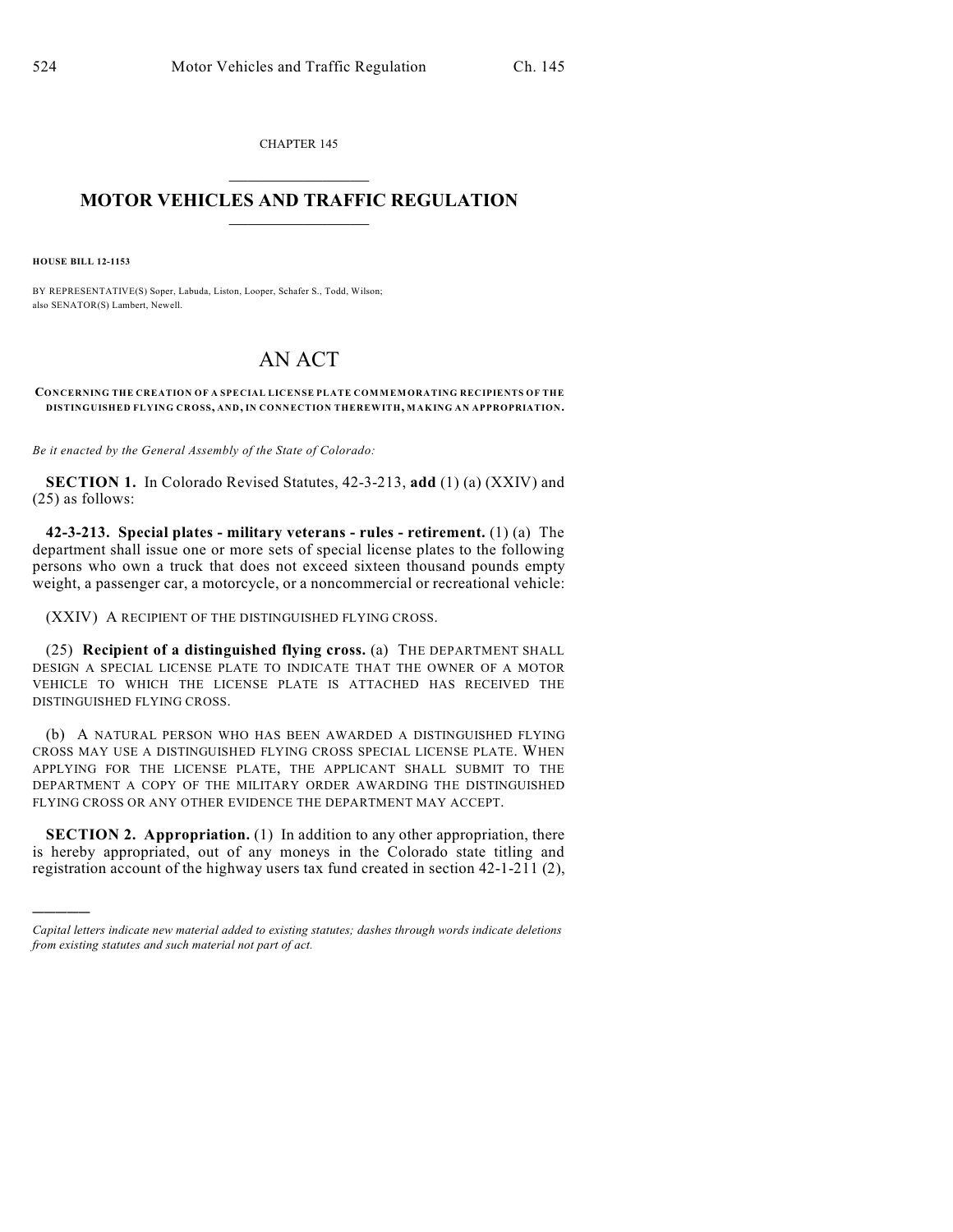CHAPTER 145  $\overline{\phantom{a}}$  . The set of the set of the set of the set of the set of the set of the set of the set of the set of the set of the set of the set of the set of the set of the set of the set of the set of the set of the set o

## **MOTOR VEHICLES AND TRAFFIC REGULATION**  $\frac{1}{2}$  ,  $\frac{1}{2}$  ,  $\frac{1}{2}$  ,  $\frac{1}{2}$  ,  $\frac{1}{2}$  ,  $\frac{1}{2}$  ,  $\frac{1}{2}$

**HOUSE BILL 12-1153**

)))))

BY REPRESENTATIVE(S) Soper, Labuda, Liston, Looper, Schafer S., Todd, Wilson; also SENATOR(S) Lambert, Newell.

## AN ACT

## **CONCERNING THE CREATION OF A SPECIAL LICENSE PLATE COMMEMORATING RECIPIENTS OF THE DISTINGUISHED FLYING CROSS, AND, IN CONNECTION THEREWITH, MAKING AN APPROPRIATION.**

*Be it enacted by the General Assembly of the State of Colorado:*

**SECTION 1.** In Colorado Revised Statutes, 42-3-213, **add** (1) (a) (XXIV) and (25) as follows:

**42-3-213. Special plates - military veterans - rules - retirement.** (1) (a) The department shall issue one or more sets of special license plates to the following persons who own a truck that does not exceed sixteen thousand pounds empty weight, a passenger car, a motorcycle, or a noncommercial or recreational vehicle:

(XXIV) A RECIPIENT OF THE DISTINGUISHED FLYING CROSS.

(25) **Recipient of a distinguished flying cross.** (a) THE DEPARTMENT SHALL DESIGN A SPECIAL LICENSE PLATE TO INDICATE THAT THE OWNER OF A MOTOR VEHICLE TO WHICH THE LICENSE PLATE IS ATTACHED HAS RECEIVED THE DISTINGUISHED FLYING CROSS.

(b) A NATURAL PERSON WHO HAS BEEN AWARDED A DISTINGUISHED FLYING CROSS MAY USE A DISTINGUISHED FLYING CROSS SPECIAL LICENSE PLATE. WHEN APPLYING FOR THE LICENSE PLATE, THE APPLICANT SHALL SUBMIT TO THE DEPARTMENT A COPY OF THE MILITARY ORDER AWARDING THE DISTINGUISHED FLYING CROSS OR ANY OTHER EVIDENCE THE DEPARTMENT MAY ACCEPT.

**SECTION 2. Appropriation.** (1) In addition to any other appropriation, there is hereby appropriated, out of any moneys in the Colorado state titling and registration account of the highway users tax fund created in section 42-1-211 (2),

*Capital letters indicate new material added to existing statutes; dashes through words indicate deletions from existing statutes and such material not part of act.*